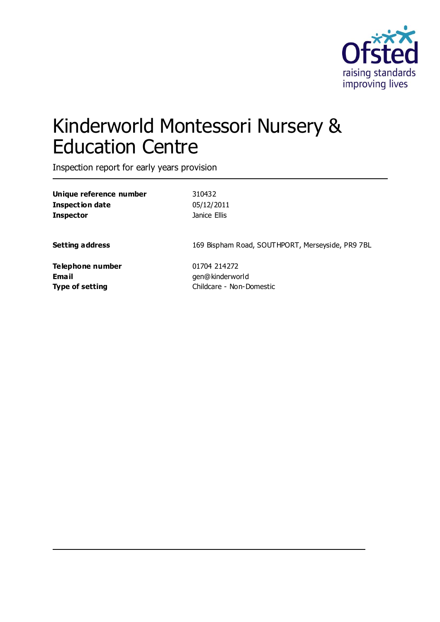

# Kinderworld Montessori Nursery & Education Centre

Inspection report for early years provision

**Unique reference number** 310432 **Inspection date** 05/12/2011 **Inspector Inspector Janice Ellis** 

**Setting address** 169 Bispham Road, SOUTHPORT, Merseyside, PR9 7BL

**Telephone number** 01704 214272 **Email** gen@kinderworld

**Type of setting** Childcare - Non-Domestic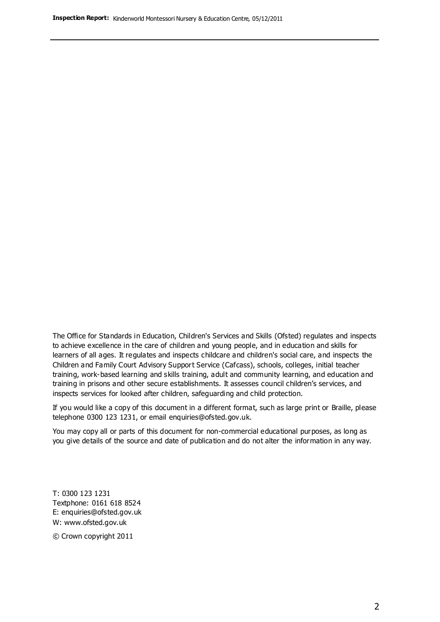The Office for Standards in Education, Children's Services and Skills (Ofsted) regulates and inspects to achieve excellence in the care of children and young people, and in education and skills for learners of all ages. It regulates and inspects childcare and children's social care, and inspects the Children and Family Court Advisory Support Service (Cafcass), schools, colleges, initial teacher training, work-based learning and skills training, adult and community learning, and education and training in prisons and other secure establishments. It assesses council children's services, and inspects services for looked after children, safeguarding and child protection.

If you would like a copy of this document in a different format, such as large print or Braille, please telephone 0300 123 1231, or email enquiries@ofsted.gov.uk.

You may copy all or parts of this document for non-commercial educational purposes, as long as you give details of the source and date of publication and do not alter the information in any way.

T: 0300 123 1231 Textphone: 0161 618 8524 E: enquiries@ofsted.gov.uk W: [www.ofsted.gov.uk](http://www.ofsted.gov.uk/)

© Crown copyright 2011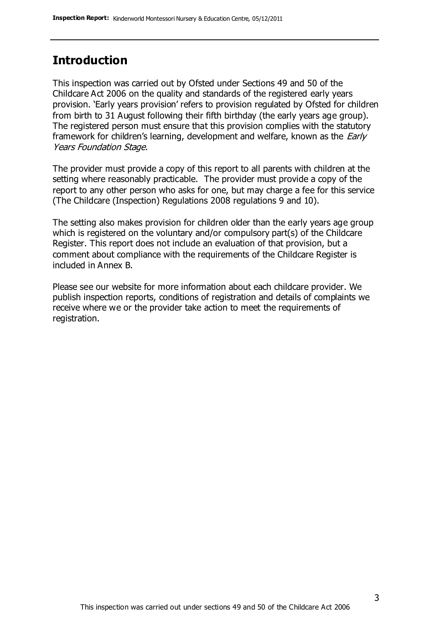#### **Introduction**

This inspection was carried out by Ofsted under Sections 49 and 50 of the Childcare Act 2006 on the quality and standards of the registered early years provision. 'Early years provision' refers to provision regulated by Ofsted for children from birth to 31 August following their fifth birthday (the early years age group). The registered person must ensure that this provision complies with the statutory framework for children's learning, development and welfare, known as the *Early* Years Foundation Stage.

The provider must provide a copy of this report to all parents with children at the setting where reasonably practicable. The provider must provide a copy of the report to any other person who asks for one, but may charge a fee for this service (The Childcare (Inspection) Regulations 2008 regulations 9 and 10).

The setting also makes provision for children older than the early years age group which is registered on the voluntary and/or compulsory part(s) of the Childcare Register. This report does not include an evaluation of that provision, but a comment about compliance with the requirements of the Childcare Register is included in Annex B.

Please see our website for more information about each childcare provider. We publish inspection reports, conditions of registration and details of complaints we receive where we or the provider take action to meet the requirements of registration.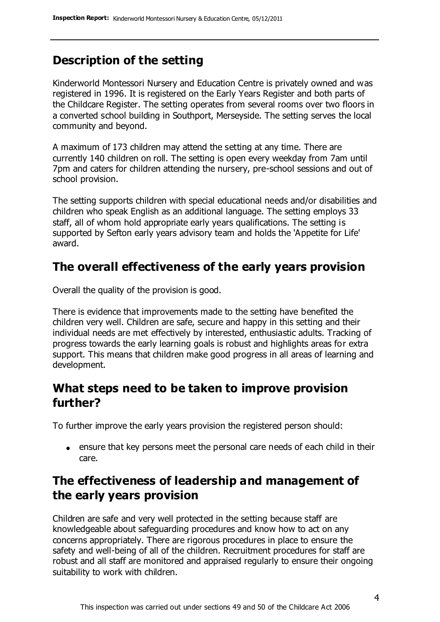### **Description of the setting**

Kinderworld Montessori Nursery and Education Centre is privately owned and was registered in 1996. It is registered on the Early Years Register and both parts of the Childcare Register. The setting operates from several rooms over two floors in a converted school building in Southport, Merseyside. The setting serves the local community and beyond.

A maximum of 173 children may attend the setting at any time. There are currently 140 children on roll. The setting is open every weekday from 7am until 7pm and caters for children attending the nursery, pre-school sessions and out of school provision.

The setting supports children with special educational needs and/or disabilities and children who speak English as an additional language. The setting employs 33 staff, all of whom hold appropriate early years qualifications. The setting is supported by Sefton early years advisory team and holds the 'Appetite for Life' award.

#### **The overall effectiveness of the early years provision**

Overall the quality of the provision is good.

There is evidence that improvements made to the setting have benefited the children very well. Children are safe, secure and happy in this setting and their individual needs are met effectively by interested, enthusiastic adults. Tracking of progress towards the early learning goals is robust and highlights areas for extra support. This means that children make good progress in all areas of learning and development.

### **What steps need to be taken to improve provision further?**

To further improve the early years provision the registered person should:

ensure that key persons meet the personal care needs of each child in their care.

### **The effectiveness of leadership and management of the early years provision**

Children are safe and very well protected in the setting because staff are knowledgeable about safeguarding procedures and know how to act on any concerns appropriately. There are rigorous procedures in place to ensure the safety and well-being of all of the children. Recruitment procedures for staff are robust and all staff are monitored and appraised regularly to ensure their ongoing suitability to work with children.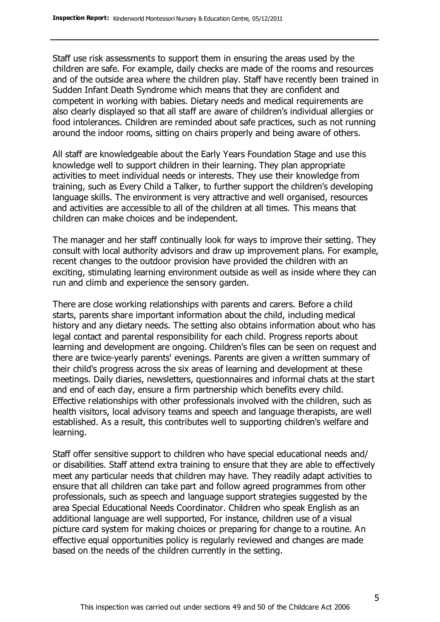Staff use risk assessments to support them in ensuring the areas used by the children are safe. For example, daily checks are made of the rooms and resources and of the outside area where the children play. Staff have recently been trained in Sudden Infant Death Syndrome which means that they are confident and competent in working with babies. Dietary needs and medical requirements are also clearly displayed so that all staff are aware of children's individual allergies or food intolerances. Children are reminded about safe practices, such as not running around the indoor rooms, sitting on chairs properly and being aware of others.

All staff are knowledgeable about the Early Years Foundation Stage and use this knowledge well to support children in their learning. They plan appropriate activities to meet individual needs or interests. They use their knowledge from training, such as Every Child a Talker, to further support the children's developing language skills. The environment is very attractive and well organised, resources and activities are accessible to all of the children at all times. This means that children can make choices and be independent.

The manager and her staff continually look for ways to improve their setting. They consult with local authority advisors and draw up improvement plans. For example, recent changes to the outdoor provision have provided the children with an exciting, stimulating learning environment outside as well as inside where they can run and climb and experience the sensory garden.

There are close working relationships with parents and carers. Before a child starts, parents share important information about the child, including medical history and any dietary needs. The setting also obtains information about who has legal contact and parental responsibility for each child. Progress reports about learning and development are ongoing. Children's files can be seen on request and there are twice-yearly parents' evenings. Parents are given a written summary of their child's progress across the six areas of learning and development at these meetings. Daily diaries, newsletters, questionnaires and informal chats at the start and end of each day, ensure a firm partnership which benefits every child. Effective relationships with other professionals involved with the children, such as health visitors, local advisory teams and speech and language therapists, are well established. As a result, this contributes well to supporting children's welfare and learning.

Staff offer sensitive support to children who have special educational needs and/ or disabilities. Staff attend extra training to ensure that they are able to effectively meet any particular needs that children may have. They readily adapt activities to ensure that all children can take part and follow agreed programmes from other professionals, such as speech and language support strategies suggested by the area Special Educational Needs Coordinator. Children who speak English as an additional language are well supported, For instance, children use of a visual picture card system for making choices or preparing for change to a routine. An effective equal opportunities policy is regularly reviewed and changes are made based on the needs of the children currently in the setting.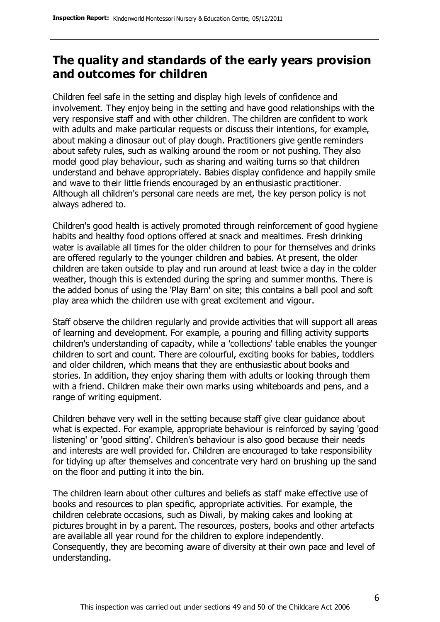#### **The quality and standards of the early years provision and outcomes for children**

Children feel safe in the setting and display high levels of confidence and involvement. They enjoy being in the setting and have good relationships with the very responsive staff and with other children. The children are confident to work with adults and make particular requests or discuss their intentions, for example, about making a dinosaur out of play dough. Practitioners give gentle reminders about safety rules, such as walking around the room or not pushing. They also model good play behaviour, such as sharing and waiting turns so that children understand and behave appropriately. Babies display confidence and happily smile and wave to their little friends encouraged by an enthusiastic practitioner. Although all children's personal care needs are met, the key person policy is not always adhered to.

Children's good health is actively promoted through reinforcement of good hygiene habits and healthy food options offered at snack and mealtimes. Fresh drinking water is available all times for the older children to pour for themselves and drinks are offered regularly to the younger children and babies. At present, the older children are taken outside to play and run around at least twice a day in the colder weather, though this is extended during the spring and summer months. There is the added bonus of using the 'Play Barn' on site; this contains a ball pool and soft play area which the children use with great excitement and vigour.

Staff observe the children regularly and provide activities that will support all areas of learning and development. For example, a pouring and filling activity supports children's understanding of capacity, while a 'collections' table enables the younger children to sort and count. There are colourful, exciting books for babies, toddlers and older children, which means that they are enthusiastic about books and stories. In addition, they enjoy sharing them with adults or looking through them with a friend. Children make their own marks using whiteboards and pens, and a range of writing equipment.

Children behave very well in the setting because staff give clear guidance about what is expected. For example, appropriate behaviour is reinforced by saying 'good listening' or 'good sitting'. Children's behaviour is also good because their needs and interests are well provided for. Children are encouraged to take responsibility for tidying up after themselves and concentrate very hard on brushing up the sand on the floor and putting it into the bin.

The children learn about other cultures and beliefs as staff make effective use of books and resources to plan specific, appropriate activities. For example, the children celebrate occasions, such as Diwali, by making cakes and looking at pictures brought in by a parent. The resources, posters, books and other artefacts are available all year round for the children to explore independently. Consequently, they are becoming aware of diversity at their own pace and level of understanding.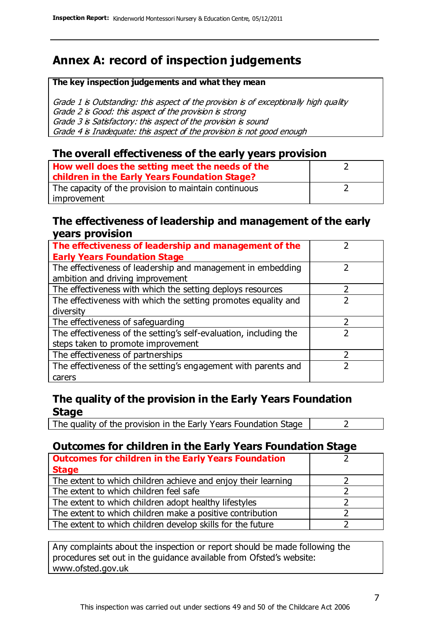### **Annex A: record of inspection judgements**

#### **The key inspection judgements and what they mean**

Grade 1 is Outstanding: this aspect of the provision is of exceptionally high quality Grade 2 is Good: this aspect of the provision is strong Grade 3 is Satisfactory: this aspect of the provision is sound Grade 4 is Inadequate: this aspect of the provision is not good enough

#### **The overall effectiveness of the early years provision**

| How well does the setting meet the needs of the      |  |
|------------------------------------------------------|--|
| children in the Early Years Foundation Stage?        |  |
| The capacity of the provision to maintain continuous |  |
| improvement                                          |  |

#### **The effectiveness of leadership and management of the early years provision**

| The effectiveness of leadership and management of the             |  |
|-------------------------------------------------------------------|--|
| <b>Early Years Foundation Stage</b>                               |  |
| The effectiveness of leadership and management in embedding       |  |
| ambition and driving improvement                                  |  |
| The effectiveness with which the setting deploys resources        |  |
| The effectiveness with which the setting promotes equality and    |  |
| diversity                                                         |  |
| The effectiveness of safeguarding                                 |  |
| The effectiveness of the setting's self-evaluation, including the |  |
| steps taken to promote improvement                                |  |
| The effectiveness of partnerships                                 |  |
| The effectiveness of the setting's engagement with parents and    |  |
| carers                                                            |  |

#### **The quality of the provision in the Early Years Foundation Stage**

The quality of the provision in the Early Years Foundation Stage  $\vert$  2

#### **Outcomes for children in the Early Years Foundation Stage**

| <b>Outcomes for children in the Early Years Foundation</b>    |  |
|---------------------------------------------------------------|--|
| <b>Stage</b>                                                  |  |
| The extent to which children achieve and enjoy their learning |  |
| The extent to which children feel safe                        |  |
| The extent to which children adopt healthy lifestyles         |  |
| The extent to which children make a positive contribution     |  |
| The extent to which children develop skills for the future    |  |

Any complaints about the inspection or report should be made following the procedures set out in the guidance available from Ofsted's website: www.ofsted.gov.uk